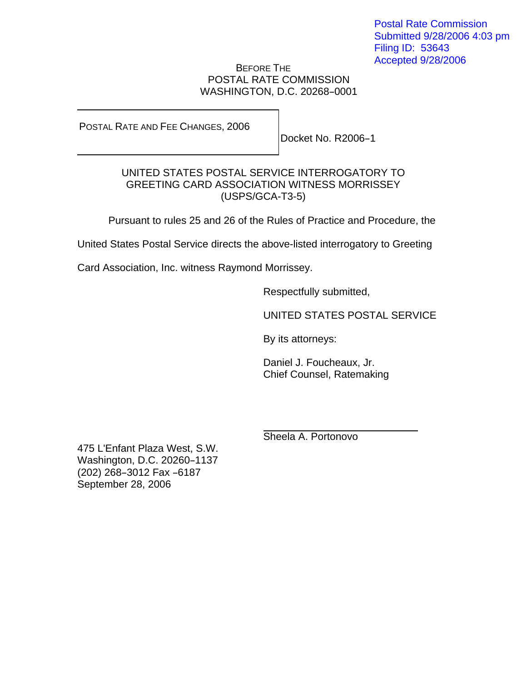## BEFORE THE POSTAL RATE COMMISSION WASHINGTON, D.C. 20268-0001

POSTAL RATE AND FEE CHANGES, 2006

Docket No. R2006-1

## UNITED STATES POSTAL SERVICE INTERROGATORY TO GREETING CARD ASSOCIATION WITNESS MORRISSEY (USPS/GCA-T3-5)

Pursuant to rules 25 and 26 of the Rules of Practice and Procedure, the

United States Postal Service directs the above-listed interrogatory to Greeting

Card Association, Inc. witness Raymond Morrissey.

Respectfully submitted,

UNITED STATES POSTAL SERVICE

By its attorneys:

Daniel J. Foucheaux, Jr. Chief Counsel, Ratemaking

Sheela A. Portonovo

475 L'Enfant Plaza West, S.W. Washington, D.C. 20260-1137 (202) 268-3012 Fax -6187 September 28, 2006